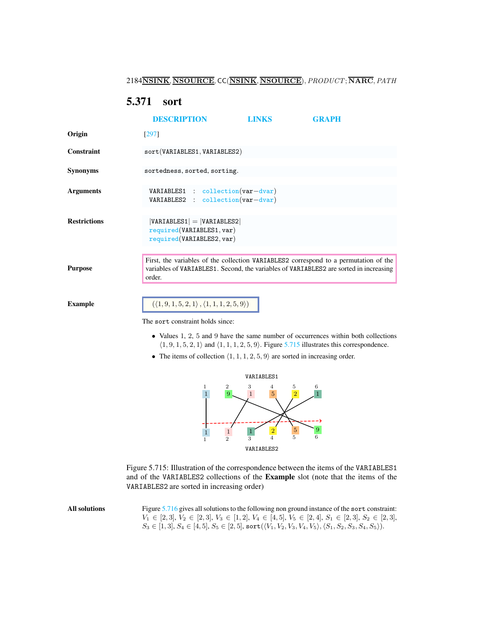# <span id="page-0-2"></span><span id="page-0-0"></span>5.371 sort

|                     | <b>DESCRIPTION</b>                                                                                                                                                                                                                                                                                              | <b>LINKS</b> | <b>GRAPH</b> |
|---------------------|-----------------------------------------------------------------------------------------------------------------------------------------------------------------------------------------------------------------------------------------------------------------------------------------------------------------|--------------|--------------|
| Origin              | [297]                                                                                                                                                                                                                                                                                                           |              |              |
| <b>Constraint</b>   | sort(VARIABLES1, VARIABLES2)                                                                                                                                                                                                                                                                                    |              |              |
| <b>Synonyms</b>     | sortedness, sorted, sorting.                                                                                                                                                                                                                                                                                    |              |              |
| <b>Arguments</b>    | VARIABLES1 : collection(var-dvar)<br>$VARIABLES2 : collection(var-dvar)$                                                                                                                                                                                                                                        |              |              |
| <b>Restrictions</b> | $ VARIABLES1  =  VARIABLES2 $<br>required(VARIABLES1, var)<br>required(VARIABLES2, var)                                                                                                                                                                                                                         |              |              |
| <b>Purpose</b>      | First, the variables of the collection VARIABLES2 correspond to a permutation of the<br>variables of VARIABLES1. Second, the variables of VARIABLES2 are sorted in increasing<br>order.                                                                                                                         |              |              |
| <b>Example</b>      | $(\langle 1, 9, 1, 5, 2, 1 \rangle, \langle 1, 1, 1, 2, 5, 9 \rangle)$<br>The sort constraint holds since:                                                                                                                                                                                                      |              |              |
|                     | • Values 1, 2, 5 and 9 have the same number of occurrences within both collections<br>$\langle 1, 9, 1, 5, 2, 1 \rangle$ and $\langle 1, 1, 1, 2, 5, 9 \rangle$ . Figure 5.715 illustrates this correspondence.<br>• The items of collection $\langle 1, 1, 1, 2, 5, 9 \rangle$ are sorted in increasing order. |              |              |



<span id="page-0-1"></span>Figure 5.715: Illustration of the correspondence between the items of the VARIABLES1 and of the VARIABLES2 collections of the Example slot (note that the items of the VARIABLES2 are sorted in increasing order)

| All solutions | Figure 5.716 gives all solutions to the following non ground instance of the sort constraint:                                             |
|---------------|-------------------------------------------------------------------------------------------------------------------------------------------|
|               | $V_1 \in [2,3], V_2 \in [2,3], V_3 \in [1,2], V_4 \in [4,5], V_5 \in [2,4], S_1 \in [2,3], S_2 \in [2,3],$                                |
|               | $S_3 \in [1,3], S_4 \in [4,5], S_5 \in [2,5],$ sort $(\langle V_1, V_2, V_3, V_4, V_5 \rangle, \langle S_1, S_2, S_3, S_4, S_5 \rangle).$ |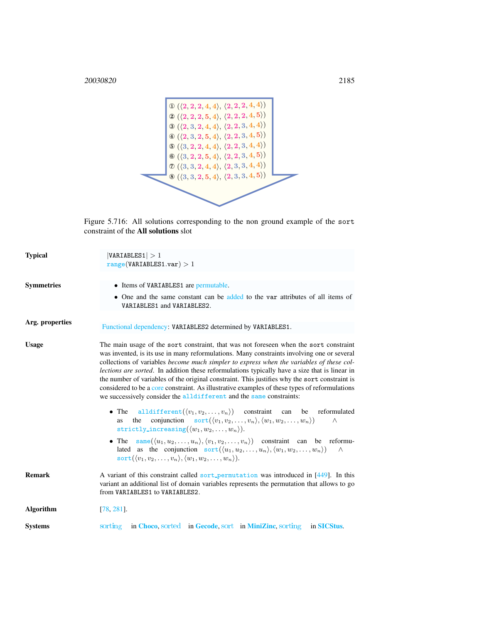<sup>20030820</sup> 2185



<span id="page-1-0"></span>Figure 5.716: All solutions corresponding to the non ground example of the sort constraint of the All solutions slot

| <b>Typical</b>    | VARIABLES1  > 1<br>range(VARIABLES1.var) > 1                                                                                                                                                                                                                                                                                                                                                                                                                                                                                                                                                                                                                             |  |  |
|-------------------|--------------------------------------------------------------------------------------------------------------------------------------------------------------------------------------------------------------------------------------------------------------------------------------------------------------------------------------------------------------------------------------------------------------------------------------------------------------------------------------------------------------------------------------------------------------------------------------------------------------------------------------------------------------------------|--|--|
| <b>Symmetries</b> | • Items of VARIABLES1 are permutable.<br>• One and the same constant can be added to the var attributes of all items of<br>VARIABLES1 and VARIABLES2.                                                                                                                                                                                                                                                                                                                                                                                                                                                                                                                    |  |  |
| Arg. properties   | Functional dependency: VARIABLES2 determined by VARIABLES1.                                                                                                                                                                                                                                                                                                                                                                                                                                                                                                                                                                                                              |  |  |
| <b>Usage</b>      | The main usage of the sort constraint, that was not foreseen when the sort constraint<br>was invented, is its use in many reformulations. Many constraints involving one or several<br>collections of variables <i>become much simpler to express when the variables of these col-</i><br><i>lections are sorted</i> . In addition these reformulations typically have a size that is linear in<br>the number of variables of the original constraint. This justifies why the sort constraint is<br>considered to be a core constraint. As illustrative examples of these types of reformulations<br>we successively consider the alldifferent and the same constraints: |  |  |
|                   | • The all different $(\langle v_1, v_2, \ldots, v_n \rangle)$ constraint can be reformulated<br>conjunction $\operatorname{sort}(\langle v_1, v_2, \ldots, v_n \rangle, \langle w_1, w_2, \ldots, w_n \rangle)$<br>the<br>$\wedge$<br><b>as</b><br>strictly_increasing( $\langle w_1, w_2, \ldots, w_n \rangle$ ).                                                                                                                                                                                                                                                                                                                                                       |  |  |
|                   | • The same $(\langle u_1, u_2, \ldots, u_n \rangle, \langle v_1, v_2, \ldots, v_n \rangle)$ constraint can be reformu-<br>lated as the conjunction $sort((u_1, u_2, , u_n), (w_1, w_2, , w_n))$<br>$\wedge$<br>sort $(\langle v_1, v_2, \ldots, v_n \rangle, \langle w_1, w_2, \ldots, w_n \rangle).$                                                                                                                                                                                                                                                                                                                                                                    |  |  |
| <b>Remark</b>     | A variant of this constraint called sort_permutation was introduced in [449]. In this<br>variant an additional list of domain variables represents the permutation that allows to go<br>from VARIABLES1 to VARIABLES2.                                                                                                                                                                                                                                                                                                                                                                                                                                                   |  |  |
| <b>Algorithm</b>  | $[78, 281]$ .                                                                                                                                                                                                                                                                                                                                                                                                                                                                                                                                                                                                                                                            |  |  |
| <b>Systems</b>    | in Choco, sorted in Gecode, sort in MiniZinc, sorting in SICStus.<br>sorting                                                                                                                                                                                                                                                                                                                                                                                                                                                                                                                                                                                             |  |  |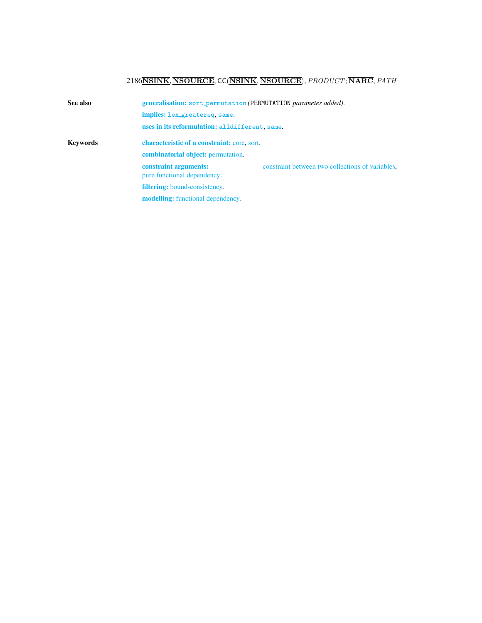<span id="page-2-0"></span>

| See also | generalisation: sort_permutation (PERMUTATION parameter added). |                                                  |  |
|----------|-----------------------------------------------------------------|--------------------------------------------------|--|
|          | implies: lex_greatereq, same.                                   |                                                  |  |
|          | uses in its reformulation: alldifferent, same.                  |                                                  |  |
| Kevwords | <b>characteristic of a constraint:</b> core, sort.              |                                                  |  |
|          | <b>combinatorial object:</b> permutation.                       |                                                  |  |
|          | constraint arguments:<br>pure functional dependency.            | constraint between two collections of variables, |  |
|          | <b>filtering:</b> bound-consistency.                            |                                                  |  |
|          | <b>modelling:</b> functional dependency.                        |                                                  |  |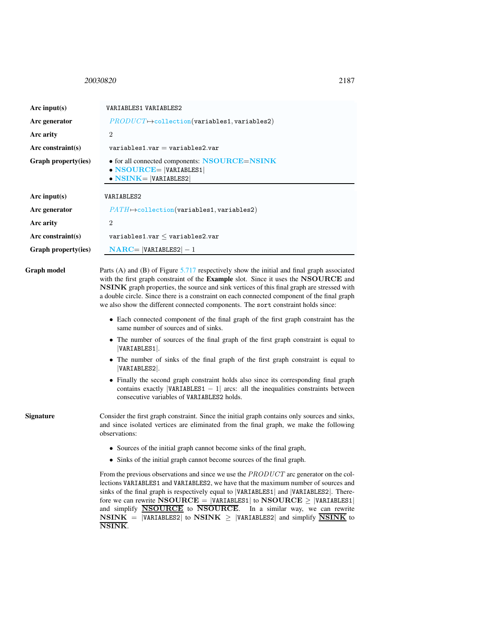## <span id="page-3-0"></span><sup>20030820</sup> 2187

| Arc input(s)         | VARIABLES1 VARIABLES2                                                                                                                                                                                                                                                                                                                                                                                                                                                |  |  |
|----------------------|----------------------------------------------------------------------------------------------------------------------------------------------------------------------------------------------------------------------------------------------------------------------------------------------------------------------------------------------------------------------------------------------------------------------------------------------------------------------|--|--|
| Arc generator        | $PRODUCT \rightarrow collection(variables1, variable2)$                                                                                                                                                                                                                                                                                                                                                                                                              |  |  |
| Arc arity            | $\overline{2}$                                                                                                                                                                                                                                                                                                                                                                                                                                                       |  |  |
| Arc constraint $(s)$ | $variable$ s1.var = variables2.var                                                                                                                                                                                                                                                                                                                                                                                                                                   |  |  |
| Graph property(ies)  | • for all connected components: NSOURCE=NSINK<br>$\bullet$ NSOURCE=  VARIABLES1 <br>$\bullet$ NSINK= VARIABLES2                                                                                                                                                                                                                                                                                                                                                      |  |  |
| Arc input(s)         | VARIABLES2                                                                                                                                                                                                                                                                                                                                                                                                                                                           |  |  |
| Arc generator        | $PATH \rightarrow$ collection(variables1, variables2)                                                                                                                                                                                                                                                                                                                                                                                                                |  |  |
| Arc arity            | $\overline{2}$                                                                                                                                                                                                                                                                                                                                                                                                                                                       |  |  |
| Arc constraint(s)    | $variable$ s1.var $\le$ variables2.var                                                                                                                                                                                                                                                                                                                                                                                                                               |  |  |
| Graph property(ies)  | $NARC =  VARIABLES2  - 1$                                                                                                                                                                                                                                                                                                                                                                                                                                            |  |  |
| Graph model          | Parts (A) and (B) of Figure $5.717$ respectively show the initial and final graph associated<br>with the first graph constraint of the Example slot. Since it uses the NSOURCE and<br>NSINK graph properties, the source and sink vertices of this final graph are stressed with<br>a double circle. Since there is a constraint on each connected component of the final graph<br>we also show the different connected components. The sort constraint holds since: |  |  |
|                      | • Each connected component of the final graph of the first graph constraint has the<br>same number of sources and of sinks.                                                                                                                                                                                                                                                                                                                                          |  |  |
|                      | • The number of sources of the final graph of the first graph constraint is equal to<br>VARIABLES1.                                                                                                                                                                                                                                                                                                                                                                  |  |  |
|                      | • The number of sinks of the final graph of the first graph constraint is equal to<br>VARIABLES2.                                                                                                                                                                                                                                                                                                                                                                    |  |  |
|                      | • Finally the second graph constraint holds also since its corresponding final graph<br>contains exactly $ VARTABLES1 - 1 $ arcs: all the inequalities constraints between<br>consecutive variables of VARIABLES2 holds.                                                                                                                                                                                                                                             |  |  |
| Signature            | Consider the first graph constraint. Since the initial graph contains only sources and sinks,<br>and since isolated vertices are eliminated from the final graph, we make the following<br>observations:                                                                                                                                                                                                                                                             |  |  |
|                      | • Sources of the initial graph cannot become sinks of the final graph,                                                                                                                                                                                                                                                                                                                                                                                               |  |  |
|                      | • Sinks of the initial graph cannot become sources of the final graph.                                                                                                                                                                                                                                                                                                                                                                                               |  |  |
|                      | From the previous observations and since we use the $PRODUCT$ arc generator on the col-<br>lections VARIABLES1 and VARIABLES2, we have that the maximum number of sources and<br>sinks of the final graph is respectively equal to  VARIABLES1  and  VARIABLES2 . There-<br>fore we can rewrite NSOURCE =  VARIABLES1  to NSOURCE $\geq$  VARIABLES1                                                                                                                 |  |  |

and simplify **NSOURCE** to **NSOURCE**. In a similar way, we can rewrite  $\textbf{NSINK} \ = \ \left| \texttt{VARIABLES2} \right| \ \text{to} \ \textbf{NSINK} \ \geq \ \left| \texttt{VARIABLES2} \right| \ \text{and} \ \text{simply} \ \overline{\textbf{NSINK}} \ \text{to}$ NSINK.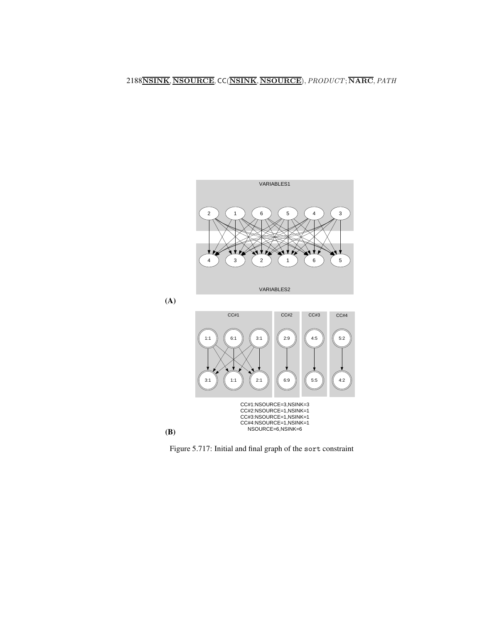

CC#1:NSOURCE=3,NSINK=3 CC#2:NSOURCE=1,NSINK=1 CC#3:NSOURCE=1,NSINK=1 CC#4:NSOURCE=1,NSINK=1 NSOURCE=6,NSINK=6

6:9

5:5

4:2

<span id="page-4-0"></span>Figure 5.717: Initial and final graph of the sort constraint

 $2:1$ 

(B)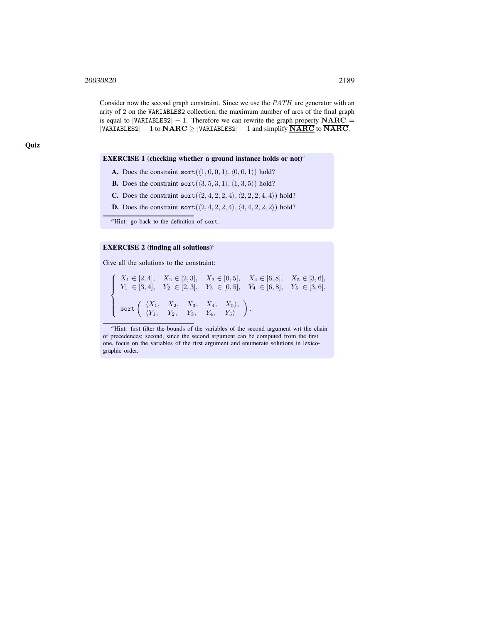Consider now the second graph constraint. Since we use the PATH arc generator with an arity of 2 on the VARIABLES2 collection, the maximum number of arcs of the final graph is equal to |VARIABLES2|  $-1$ . Therefore we can rewrite the graph property NARC = |VARIABLES2|  $-1$  to NARC  $\geq$  |VARIABLES2|  $-1$  and simplify NARC to NARC.

#### EXERCISE 1 (checking whether a ground instance holds or not)*[a](#page-5-0)*

- A. Does the constraint sort  $(\langle 1, 0, 0, 1 \rangle, \langle 0, 0, 1 \rangle)$  hold?
- **B.** Does the constraint sort( $\langle 3, 5, 3, 1 \rangle$ ,  $\langle 1, 3, 5 \rangle$ ) hold?
- C. Does the constraint sort  $(2, 4, 2, 2, 4), (2, 2, 2, 4, 4)$  hold?
- **D.** Does the constraint sort  $(\langle 2, 4, 2, 2, 4 \rangle, \langle 4, 4, 2, 2, 2 \rangle)$  hold?

*<sup>a</sup>*Hint: go back to the definition of sort.

#### EXERCISE 2 (finding all solutions)*[a](#page-5-1)*

<span id="page-5-0"></span>Give all the solutions to the constraint:

 $\sqrt{ }$  $\int$  $\overline{\mathcal{L}}$  $X_1 \in [2, 4], \quad X_2 \in [2, 3], \quad X_3 \in [0, 5], \quad X_4 \in [6, 8], \quad X_5 \in [3, 6],$  $Y_1 \in [3, 4], \quad Y_2 \in [2, 3], \quad Y_3 \in [0, 5], \quad Y_4 \in [6, 8], \quad Y_5 \in [3, 6],$ sort hX1, X2, X3, X4, X5i,  $\langle Y_1, Y_2, Y_3, Y_4, Y_5 \rangle$  $\big)$  .

<span id="page-5-1"></span><sup>*a*</sup>Hint: first filter the bounds of the variables of the second argument wrt the chain of precedences; second, since the second argument can be computed from the first one, focus on the variables of the first argument and enumerate solutions in lexicographic order.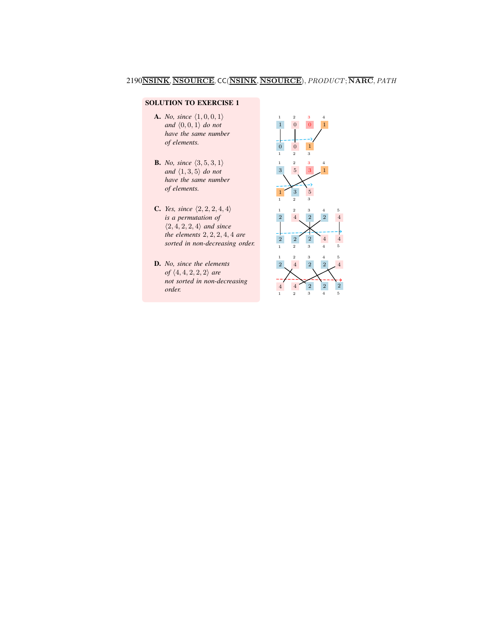## SOLUTION TO EXERCISE 1

- A. *No, since*  $\langle 1, 0, 0, 1 \rangle$ *and*  $\langle 0, 0, 1 \rangle$  *do not have the same number of elements.*
- **B.** *No, since*  $\langle 3, 5, 3, 1 \rangle$ *and*  $\langle 1, 3, 5 \rangle$  *do not have the same number of elements.*
- **C.** *Yes, since*  $\langle 2, 2, 2, 4, 4 \rangle$ *is a permutation of*  $\langle 2, 4, 2, 2, 4 \rangle$  *and since the elements* 2, 2, 2, 4, 4 *are sorted in non-decreasing order.*
- D. *No, since the elements of*  $\langle 4, 4, 2, 2, 2 \rangle$  *are not sorted in non-decreasing order.*